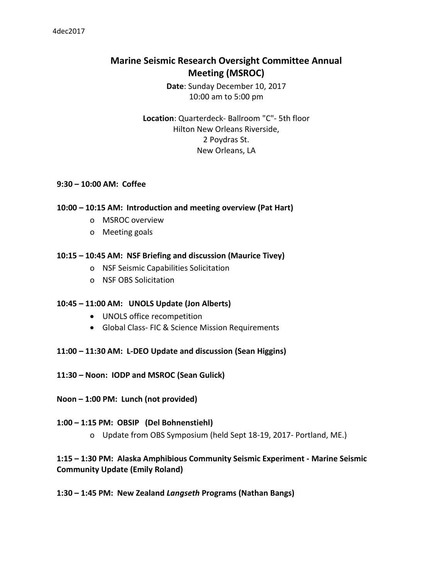# **Marine Seismic Research Oversight Committee Annual Meeting (MSROC)**

**Date**: Sunday December 10, 2017 10:00 am to 5:00 pm

**Location**: Quarterdeck- Ballroom "C"- 5th floor Hilton New Orleans Riverside, 2 Poydras St. New Orleans, LA

#### **9:30 – 10:00 AM: Coffee**

#### **10:00 – 10:15 AM: Introduction and meeting overview (Pat Hart)**

- o MSROC overview
- o Meeting goals

#### **10:15 – 10:45 AM: NSF Briefing and discussion (Maurice Tivey)**

- o NSF Seismic Capabilities Solicitation
- o NSF OBS Solicitation

#### **10:45 – 11:00 AM: UNOLS Update (Jon Alberts)**

- UNOLS office recompetition
- Global Class- FIC & Science Mission Requirements
- **11:00 – 11:30 AM: L-DEO Update and discussion (Sean Higgins)**
- **11:30 – Noon: IODP and MSROC (Sean Gulick)**
- **Noon – 1:00 PM: Lunch (not provided)**

#### **1:00 – 1:15 PM: OBSIP (Del Bohnenstiehl)**

o Update from OBS Symposium (held Sept 18-19, 2017- Portland, ME.)

## **1:15 – 1:30 PM: Alaska Amphibious Community Seismic Experiment - Marine Seismic Community Update (Emily Roland)**

**1:30 – 1:45 PM: New Zealand** *Langseth* **Programs (Nathan Bangs)**